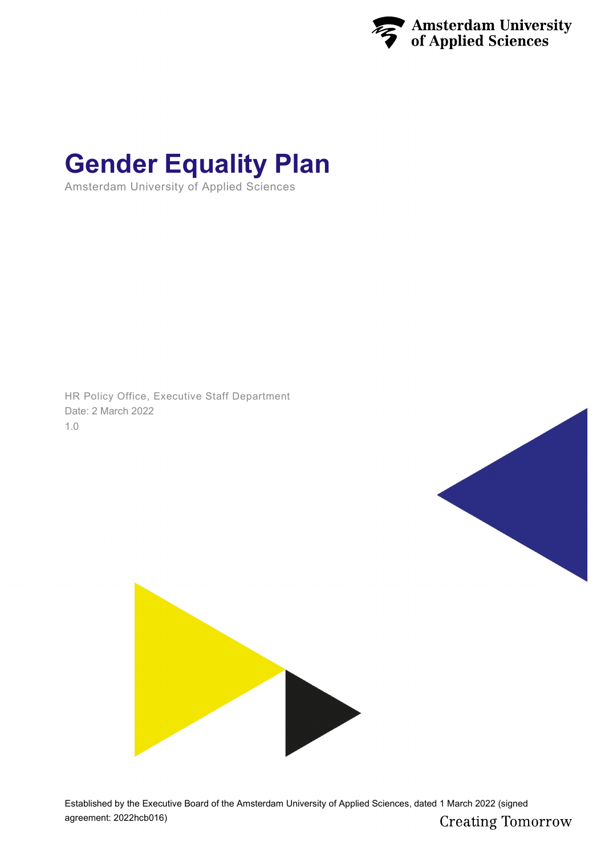

# **Gender Equality Plan**

Amsterdam University of Applied Sciences

HR Policy Office, Executive Staff Department Date: 2 March 2022 1.0





Established by the Executive Board of the Amsterdam University of Applied Sciences, dated 1 March 2022 (signed agreement: 2022hcb016) **Creating Tomorrow**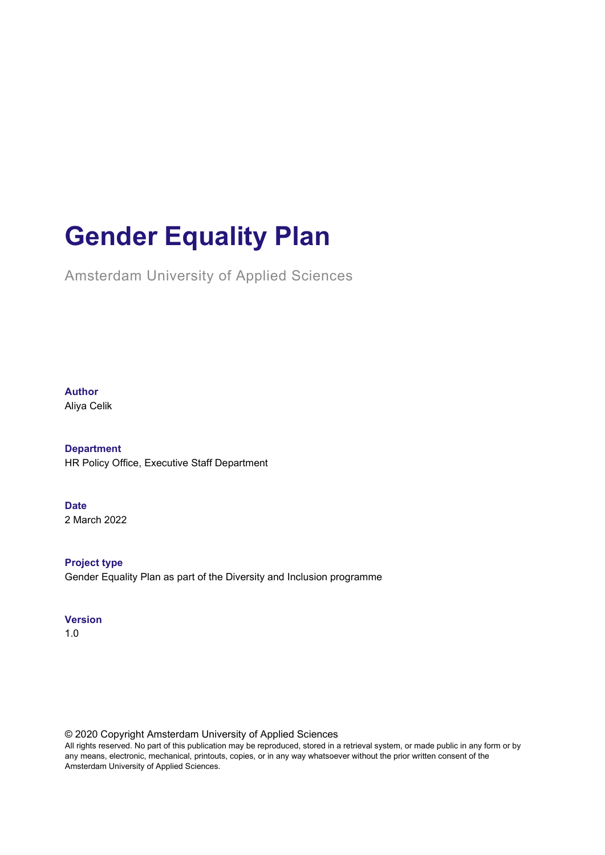# **Gender Equality Plan**

Amsterdam University of Applied Sciences

### **Author**

Aliya Celik

### **Department**

HR Policy Office, Executive Staff Department

### **Date**

2 March 2022

**Project type** Gender Equality Plan as part of the Diversity and Inclusion programme

#### **Version**

1.0

© 2020 Copyright Amsterdam University of Applied Sciences

All rights reserved. No part of this publication may be reproduced, stored in a retrieval system, or made public in any form or by any means, electronic, mechanical, printouts, copies, or in any way whatsoever without the prior written consent of the Amsterdam University of Applied Sciences.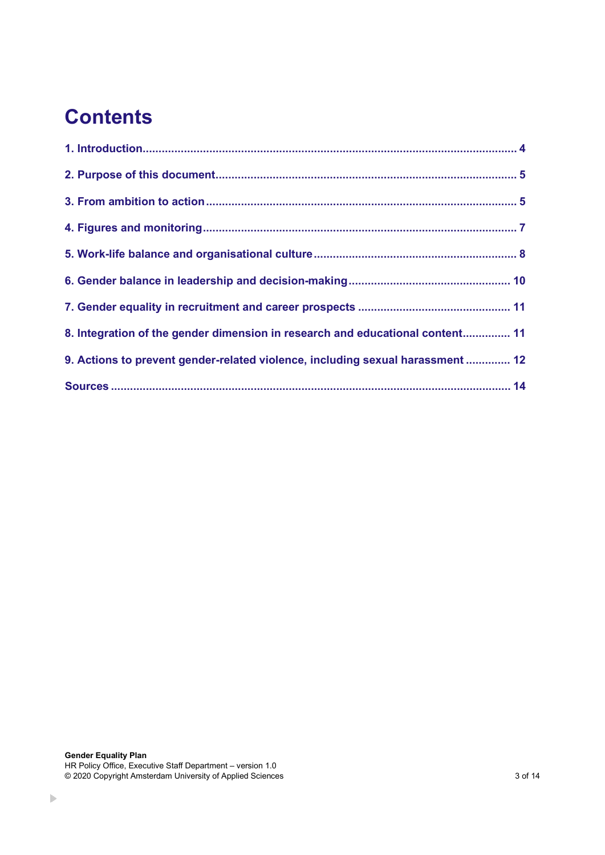# **Contents**

| 8. Integration of the gender dimension in research and educational content 11  |
|--------------------------------------------------------------------------------|
| 9. Actions to prevent gender-related violence, including sexual harassment  12 |
|                                                                                |

 $\vert \cdot \vert$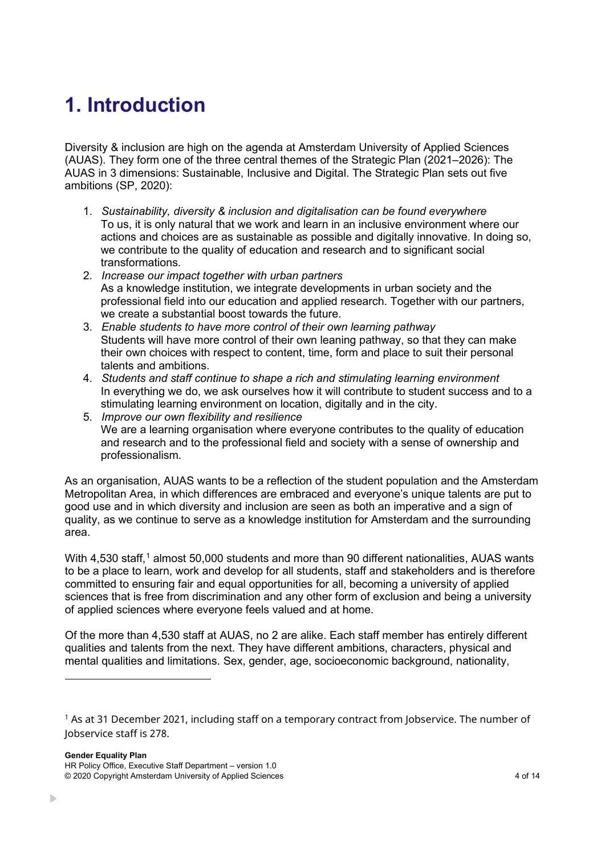# <span id="page-3-0"></span>**1. Introduction**

Diversity & inclusion are high on the agenda at Amsterdam University of Applied Sciences (AUAS). They form one of the three central themes of the Strategic Plan (2021–2026): The AUAS in 3 dimensions: Sustainable, Inclusive and Digital. The Strategic Plan sets out five ambitions (SP, 2020):

- 1. *Sustainability, diversity & inclusion and digitalisation can be found everywhere* To us, it is only natural that we work and learn in an inclusive environment where our actions and choices are as sustainable as possible and digitally innovative. In doing so, we contribute to the quality of education and research and to significant social transformations.
- 2. *Increase our impact together with urban partners* As a knowledge institution, we integrate developments in urban society and the professional field into our education and applied research. Together with our partners, we create a substantial boost towards the future.
- 3. *Enable students to have more control of their own learning pathway* Students will have more control of their own leaning pathway, so that they can make their own choices with respect to content, time, form and place to suit their personal talents and ambitions.
- 4. *Students and staff continue to shape a rich and stimulating learning environment* In everything we do, we ask ourselves how it will contribute to student success and to a stimulating learning environment on location, digitally and in the city.
- 5. *Improve our own flexibility and resilience* We are a learning organisation where everyone contributes to the quality of education and research and to the professional field and society with a sense of ownership and professionalism.

As an organisation, AUAS wants to be a reflection of the student population and the Amsterdam Metropolitan Area, in which differences are embraced and everyone's unique talents are put to good use and in which diversity and inclusion are seen as both an imperative and a sign of quality, as we continue to serve as a knowledge institution for Amsterdam and the surrounding area.

With 4,530 staff,<sup>[1](#page-3-1)</sup> almost 50,000 students and more than 90 different nationalities, AUAS wants to be a place to learn, work and develop for all students, staff and stakeholders and is therefore committed to ensuring fair and equal opportunities for all, becoming a university of applied sciences that is free from discrimination and any other form of exclusion and being a university of applied sciences where everyone feels valued and at home.

Of the more than 4,530 staff at AUAS, no 2 are alike. Each staff member has entirely different qualities and talents from the next. They have different ambitions, characters, physical and mental qualities and limitations. Sex, gender, age, socioeconomic background, nationality,

<span id="page-3-1"></span><sup>&</sup>lt;sup>1</sup> As at 31 December 2021, including staff on a temporary contract from Jobservice. The number of Jobservice staff is 278.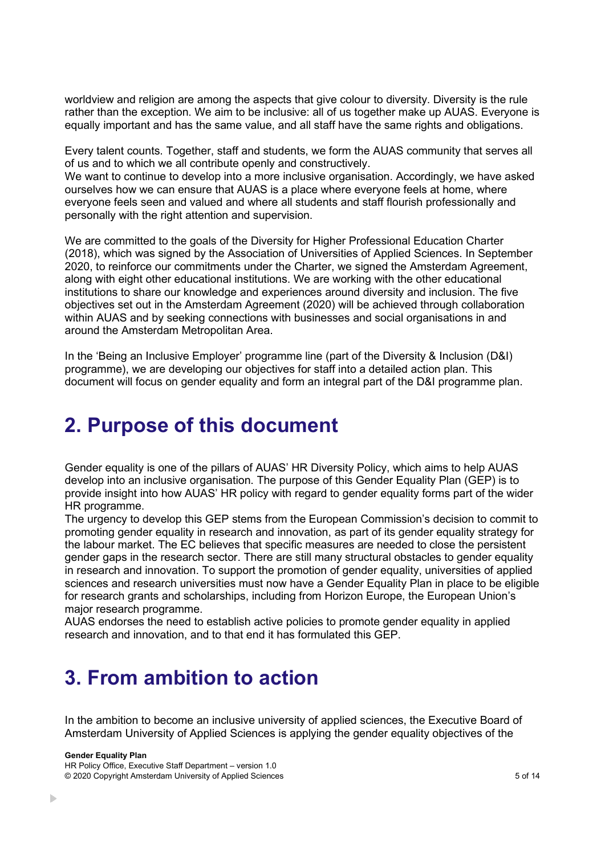worldview and religion are among the aspects that give colour to diversity. Diversity is the rule rather than the exception. We aim to be inclusive: all of us together make up AUAS. Everyone is equally important and has the same value, and all staff have the same rights and obligations.

Every talent counts. Together, staff and students, we form the AUAS community that serves all of us and to which we all contribute openly and constructively.

We want to continue to develop into a more inclusive organisation. Accordingly, we have asked ourselves how we can ensure that AUAS is a place where everyone feels at home, where everyone feels seen and valued and where all students and staff flourish professionally and personally with the right attention and supervision.

We are committed to the goals of the Diversity for Higher Professional Education Charter (2018), which was signed by the Association of Universities of Applied Sciences. In September 2020, to reinforce our commitments under the Charter, we signed the Amsterdam Agreement, along with eight other educational institutions. We are working with the other educational institutions to share our knowledge and experiences around diversity and inclusion. The five objectives set out in the Amsterdam Agreement (2020) will be achieved through collaboration within AUAS and by seeking connections with businesses and social organisations in and around the Amsterdam Metropolitan Area.

In the 'Being an Inclusive Employer' programme line (part of the Diversity & Inclusion (D&I) programme), we are developing our objectives for staff into a detailed action plan. This document will focus on gender equality and form an integral part of the D&I programme plan.

### <span id="page-4-0"></span>**2. Purpose of this document**

Gender equality is one of the pillars of AUAS' HR Diversity Policy, which aims to help AUAS develop into an inclusive organisation. The purpose of this Gender Equality Plan (GEP) is to provide insight into how AUAS' HR policy with regard to gender equality forms part of the wider HR programme.

The urgency to develop this GEP stems from the European Commission's decision to commit to promoting gender equality in research and innovation, as part of its gender equality strategy for the labour market. The EC believes that specific measures are needed to close the persistent gender gaps in the research sector. There are still many structural obstacles to gender equality in research and innovation. To support the promotion of gender equality, universities of applied sciences and research universities must now have a Gender Equality Plan in place to be eligible for research grants and scholarships, including from Horizon Europe, the European Union's major research programme.

AUAS endorses the need to establish active policies to promote gender equality in applied research and innovation, and to that end it has formulated this GEP.

### <span id="page-4-1"></span>**3. From ambition to action**

In the ambition to become an inclusive university of applied sciences, the Executive Board of Amsterdam University of Applied Sciences is applying the gender equality objectives of the

#### **Gender Equality Plan**

HR Policy Office, Executive Staff Department – version 1.0 © 2020 Copyright Amsterdam University of Applied Sciences 5 of 14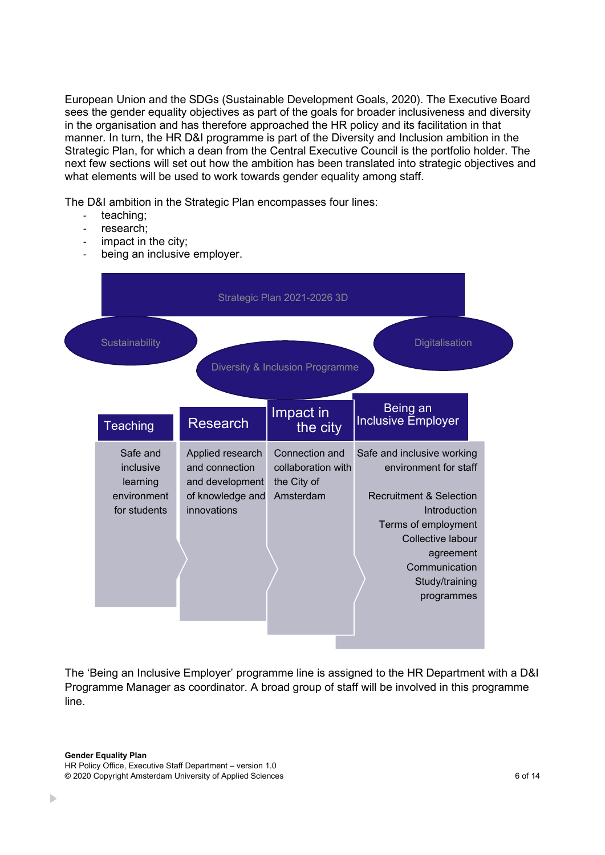European Union and the SDGs (Sustainable Development Goals, 2020). The Executive Board sees the gender equality objectives as part of the goals for broader inclusiveness and diversity in the organisation and has therefore approached the HR policy and its facilitation in that manner. In turn, the HR D&I programme is part of the Diversity and Inclusion ambition in the Strategic Plan, for which a dean from the Central Executive Council is the portfolio holder. The next few sections will set out how the ambition has been translated into strategic objectives and what elements will be used to work towards gender equality among staff.

The D&I ambition in the Strategic Plan encompasses four lines:

- teaching;
- research:
- impact in the city;
- being an inclusive employer.



The 'Being an Inclusive Employer' programme line is assigned to the HR Department with a D&I Programme Manager as coordinator. A broad group of staff will be involved in this programme line.

#### **Gender Equality Plan**

HR Policy Office, Executive Staff Department – version 1.0 © 2020 Copyright Amsterdam University of Applied Sciences 6 of 14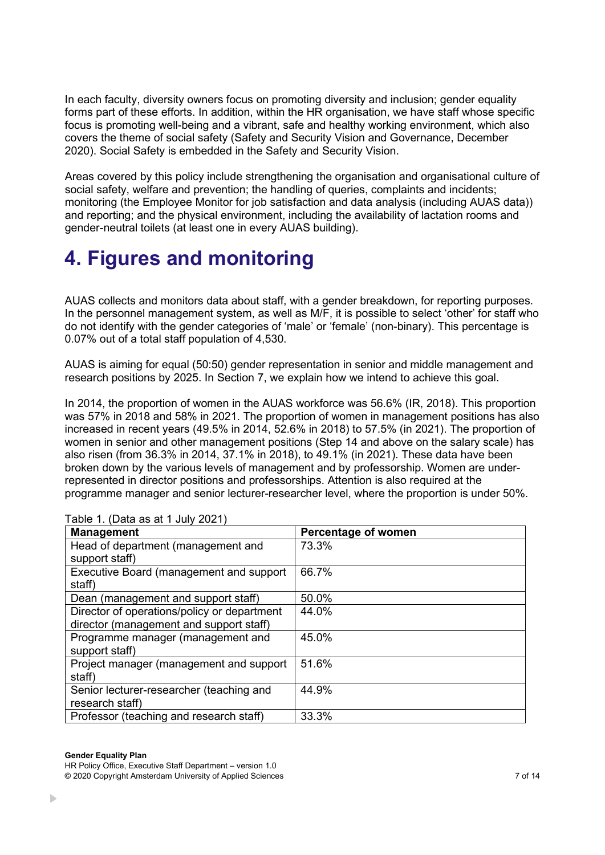In each faculty, diversity owners focus on promoting diversity and inclusion; gender equality forms part of these efforts. In addition, within the HR organisation, we have staff whose specific focus is promoting well-being and a vibrant, safe and healthy working environment, which also covers the theme of social safety (Safety and Security Vision and Governance, December 2020). Social Safety is embedded in the Safety and Security Vision.

Areas covered by this policy include strengthening the organisation and organisational culture of social safety, welfare and prevention; the handling of queries, complaints and incidents; monitoring (the Employee Monitor for job satisfaction and data analysis (including AUAS data)) and reporting; and the physical environment, including the availability of lactation rooms and gender-neutral toilets (at least one in every AUAS building).

# <span id="page-6-0"></span>**4. Figures and monitoring**

AUAS collects and monitors data about staff, with a gender breakdown, for reporting purposes. In the personnel management system, as well as M/F, it is possible to select 'other' for staff who do not identify with the gender categories of 'male' or 'female' (non-binary). This percentage is 0.07% out of a total staff population of 4,530.

AUAS is aiming for equal (50:50) gender representation in senior and middle management and research positions by 2025. In Section 7, we explain how we intend to achieve this goal.

In 2014, the proportion of women in the AUAS workforce was 56.6% (IR, 2018). This proportion was 57% in 2018 and 58% in 2021. The proportion of women in management positions has also increased in recent years (49.5% in 2014, 52.6% in 2018) to 57.5% (in 2021). The proportion of women in senior and other management positions (Step 14 and above on the salary scale) has also risen (from 36.3% in 2014, 37.1% in 2018), to 49.1% (in 2021). These data have been broken down by the various levels of management and by professorship. Women are underrepresented in director positions and professorships. Attention is also required at the programme manager and senior lecturer-researcher level, where the proportion is under 50%.

| <b>Management</b>                           | <b>Percentage of women</b> |
|---------------------------------------------|----------------------------|
| Head of department (management and          | 73.3%                      |
| support staff)                              |                            |
| Executive Board (management and support     | 66.7%                      |
| staff)                                      |                            |
| Dean (management and support staff)         | 50.0%                      |
| Director of operations/policy or department | 44.0%                      |
| director (management and support staff)     |                            |
| Programme manager (management and           | 45.0%                      |
| support staff)                              |                            |
| Project manager (management and support     | 51.6%                      |
| staff)                                      |                            |
| Senior lecturer-researcher (teaching and    | 44.9%                      |
| research staff)                             |                            |
| Professor (teaching and research staff)     | 33.3%                      |

Table 1. (Data as at 1 July 2021)

### **Gender Equality Plan**

HR Policy Office, Executive Staff Department – version 1.0 © 2020 Copyright Amsterdam University of Applied Sciences 7 of 14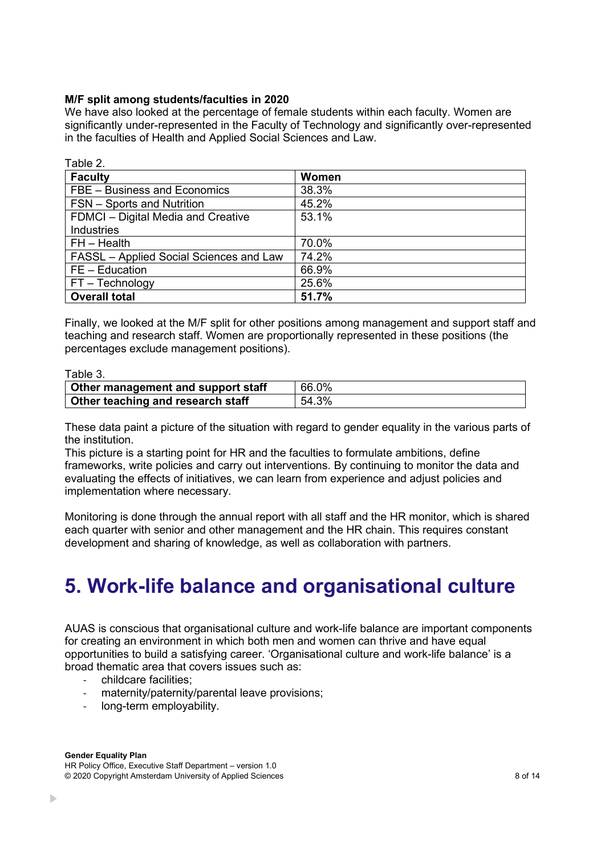### **M/F split among students/faculties in 2020**

We have also looked at the percentage of female students within each faculty. Women are significantly under-represented in the Faculty of Technology and significantly over-represented in the faculties of Health and Applied Social Sciences and Law.

| Table 2.                                |       |
|-----------------------------------------|-------|
| <b>Faculty</b>                          | Women |
| FBE - Business and Economics            | 38.3% |
| <b>FSN</b> – Sports and Nutrition       | 45.2% |
| FDMCI - Digital Media and Creative      | 53.1% |
| <b>Industries</b>                       |       |
| $FH - Health$                           | 70.0% |
| FASSL - Applied Social Sciences and Law | 74.2% |
| $FE - Education$                        | 66.9% |
| FT - Technology                         | 25.6% |
| <b>Overall total</b>                    | 51.7% |

Finally, we looked at the M/F split for other positions among management and support staff and teaching and research staff. Women are proportionally represented in these positions (the percentages exclude management positions).

Table 3.

| <b>Other management and support staff</b> | 66.0% |
|-------------------------------------------|-------|
| Other teaching and research staff         | 54.3% |

These data paint a picture of the situation with regard to gender equality in the various parts of the institution.

This picture is a starting point for HR and the faculties to formulate ambitions, define frameworks, write policies and carry out interventions. By continuing to monitor the data and evaluating the effects of initiatives, we can learn from experience and adjust policies and implementation where necessary.

Monitoring is done through the annual report with all staff and the HR monitor, which is shared each quarter with senior and other management and the HR chain. This requires constant development and sharing of knowledge, as well as collaboration with partners.

# <span id="page-7-0"></span>**5. Work-life balance and organisational culture**

AUAS is conscious that organisational culture and work-life balance are important components for creating an environment in which both men and women can thrive and have equal opportunities to build a satisfying career. 'Organisational culture and work-life balance' is a broad thematic area that covers issues such as:

- childcare facilities;
- maternity/paternity/parental leave provisions;
- long-term employability.

**Gender Equality Plan**

HR Policy Office, Executive Staff Department – version 1.0 © 2020 Copyright Amsterdam University of Applied Sciences 8 of 14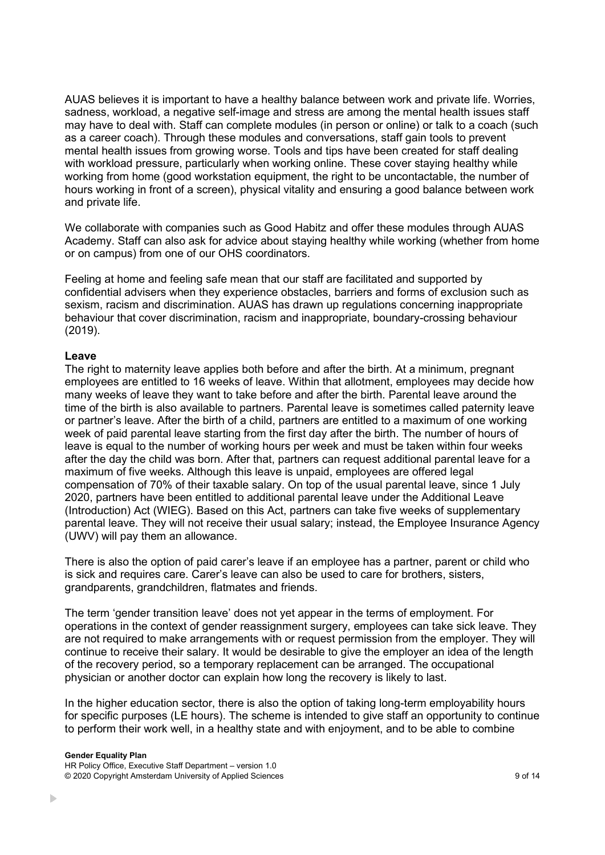AUAS believes it is important to have a healthy balance between work and private life. Worries, sadness, workload, a negative self-image and stress are among the mental health issues staff may have to deal with. Staff can complete modules (in person or online) or talk to a coach (such as a career coach). Through these modules and conversations, staff gain tools to prevent mental health issues from growing worse. Tools and tips have been created for staff dealing with workload pressure, particularly when working online. These cover staying healthy while working from home (good workstation equipment, the right to be uncontactable, the number of hours working in front of a screen), physical vitality and ensuring a good balance between work and private life.

We collaborate with companies such as Good Habitz and offer these modules through AUAS Academy. Staff can also ask for advice about staying healthy while working (whether from home or on campus) from one of our OHS coordinators.

Feeling at home and feeling safe mean that our staff are facilitated and supported by confidential advisers when they experience obstacles, barriers and forms of exclusion such as sexism, racism and discrimination. AUAS has drawn up regulations concerning inappropriate behaviour that cover discrimination, racism and inappropriate, boundary-crossing behaviour (2019).

### **Leave**

The right to maternity leave applies both before and after the birth. At a minimum, pregnant employees are entitled to 16 weeks of leave. Within that allotment, employees may decide how many weeks of leave they want to take before and after the birth. Parental leave around the time of the birth is also available to partners. Parental leave is sometimes called paternity leave or partner's leave. After the birth of a child, partners are entitled to a maximum of one working week of paid parental leave starting from the first day after the birth. The number of hours of leave is equal to the number of working hours per week and must be taken within four weeks after the day the child was born. After that, partners can request additional parental leave for a maximum of five weeks. Although this leave is unpaid, employees are offered legal compensation of 70% of their taxable salary. On top of the usual parental leave, since 1 July 2020, partners have been entitled to additional parental leave under the Additional Leave (Introduction) Act (WIEG). Based on this Act, partners can take five weeks of supplementary parental leave. They will not receive their usual salary; instead, the Employee Insurance Agency (UWV) will pay them an allowance.

There is also the option of paid carer's leave if an employee has a partner, parent or child who is sick and requires care. Carer's leave can also be used to care for brothers, sisters, grandparents, grandchildren, flatmates and friends.

The term 'gender transition leave' does not yet appear in the terms of employment. For operations in the context of gender reassignment surgery, employees can take sick leave. They are not required to make arrangements with or request permission from the employer. They will continue to receive their salary. It would be desirable to give the employer an idea of the length of the recovery period, so a temporary replacement can be arranged. The occupational physician or another doctor can explain how long the recovery is likely to last.

In the higher education sector, there is also the option of taking long-term employability hours for specific purposes (LE hours). The scheme is intended to give staff an opportunity to continue to perform their work well, in a healthy state and with enjoyment, and to be able to combine

#### **Gender Equality Plan**

HR Policy Office, Executive Staff Department – version 1.0 © 2020 Copyright Amsterdam University of Applied Sciences 9 of 14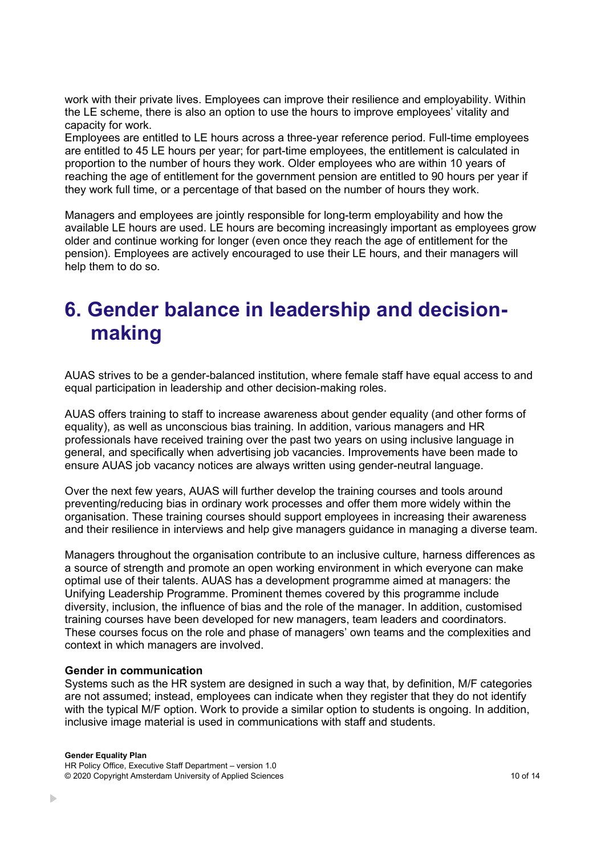work with their private lives. Employees can improve their resilience and employability. Within the LE scheme, there is also an option to use the hours to improve employees' vitality and capacity for work.

Employees are entitled to LE hours across a three-year reference period. Full-time employees are entitled to 45 LE hours per year; for part-time employees, the entitlement is calculated in proportion to the number of hours they work. Older employees who are within 10 years of reaching the age of entitlement for the government pension are entitled to 90 hours per year if they work full time, or a percentage of that based on the number of hours they work.

Managers and employees are jointly responsible for long-term employability and how the available LE hours are used. LE hours are becoming increasingly important as employees grow older and continue working for longer (even once they reach the age of entitlement for the pension). Employees are actively encouraged to use their LE hours, and their managers will help them to do so.

## <span id="page-9-0"></span>**6. Gender balance in leadership and decisionmaking**

AUAS strives to be a gender-balanced institution, where female staff have equal access to and equal participation in leadership and other decision-making roles.

AUAS offers training to staff to increase awareness about gender equality (and other forms of equality), as well as unconscious bias training. In addition, various managers and HR professionals have received training over the past two years on using inclusive language in general, and specifically when advertising job vacancies. Improvements have been made to ensure AUAS job vacancy notices are always written using gender-neutral language.

Over the next few years, AUAS will further develop the training courses and tools around preventing/reducing bias in ordinary work processes and offer them more widely within the organisation. These training courses should support employees in increasing their awareness and their resilience in interviews and help give managers guidance in managing a diverse team.

Managers throughout the organisation contribute to an inclusive culture, harness differences as a source of strength and promote an open working environment in which everyone can make optimal use of their talents. AUAS has a development programme aimed at managers: the Unifying Leadership Programme. Prominent themes covered by this programme include diversity, inclusion, the influence of bias and the role of the manager. In addition, customised training courses have been developed for new managers, team leaders and coordinators. These courses focus on the role and phase of managers' own teams and the complexities and context in which managers are involved.

### **Gender in communication**

Systems such as the HR system are designed in such a way that, by definition, M/F categories are not assumed; instead, employees can indicate when they register that they do not identify with the typical M/F option. Work to provide a similar option to students is ongoing. In addition, inclusive image material is used in communications with staff and students.

#### **Gender Equality Plan**

HR Policy Office, Executive Staff Department – version 1.0 © 2020 Copyright Amsterdam University of Applied Sciences 10 of 14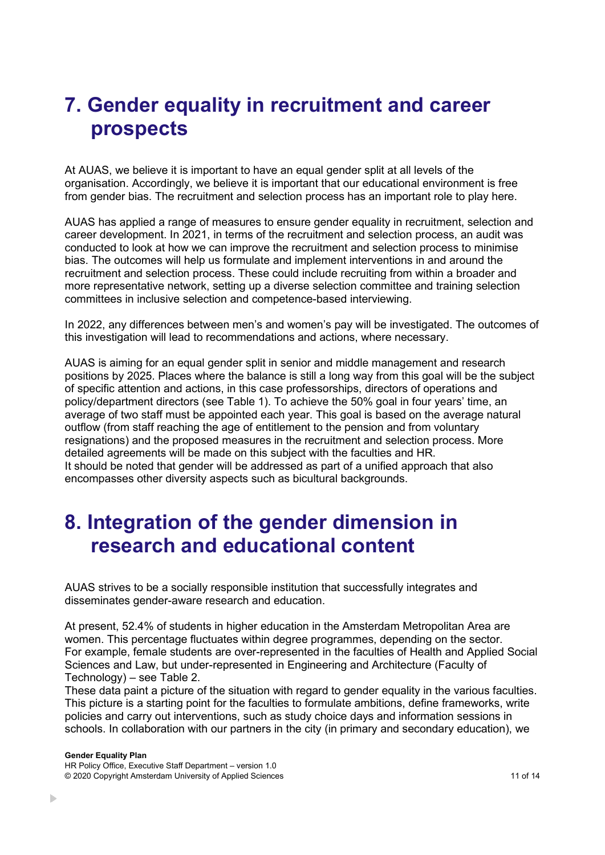# <span id="page-10-0"></span>**7. Gender equality in recruitment and career prospects**

At AUAS, we believe it is important to have an equal gender split at all levels of the organisation. Accordingly, we believe it is important that our educational environment is free from gender bias. The recruitment and selection process has an important role to play here.

AUAS has applied a range of measures to ensure gender equality in recruitment, selection and career development. In 2021, in terms of the recruitment and selection process, an audit was conducted to look at how we can improve the recruitment and selection process to minimise bias. The outcomes will help us formulate and implement interventions in and around the recruitment and selection process. These could include recruiting from within a broader and more representative network, setting up a diverse selection committee and training selection committees in inclusive selection and competence-based interviewing.

In 2022, any differences between men's and women's pay will be investigated. The outcomes of this investigation will lead to recommendations and actions, where necessary.

AUAS is aiming for an equal gender split in senior and middle management and research positions by 2025. Places where the balance is still a long way from this goal will be the subject of specific attention and actions, in this case professorships, directors of operations and policy/department directors (see Table 1). To achieve the 50% goal in four years' time, an average of two staff must be appointed each year. This goal is based on the average natural outflow (from staff reaching the age of entitlement to the pension and from voluntary resignations) and the proposed measures in the recruitment and selection process. More detailed agreements will be made on this subject with the faculties and HR. It should be noted that gender will be addressed as part of a unified approach that also encompasses other diversity aspects such as bicultural backgrounds.

### <span id="page-10-1"></span>**8. Integration of the gender dimension in research and educational content**

AUAS strives to be a socially responsible institution that successfully integrates and disseminates gender-aware research and education.

At present, 52.4% of students in higher education in the Amsterdam Metropolitan Area are women. This percentage fluctuates within degree programmes, depending on the sector. For example, female students are over-represented in the faculties of Health and Applied Social Sciences and Law, but under-represented in Engineering and Architecture (Faculty of Technology) – see Table 2.

These data paint a picture of the situation with regard to gender equality in the various faculties. This picture is a starting point for the faculties to formulate ambitions, define frameworks, write policies and carry out interventions, such as study choice days and information sessions in schools. In collaboration with our partners in the city (in primary and secondary education), we

#### **Gender Equality Plan**

HR Policy Office, Executive Staff Department – version 1.0 © 2020 Copyright Amsterdam University of Applied Sciences 11 of 14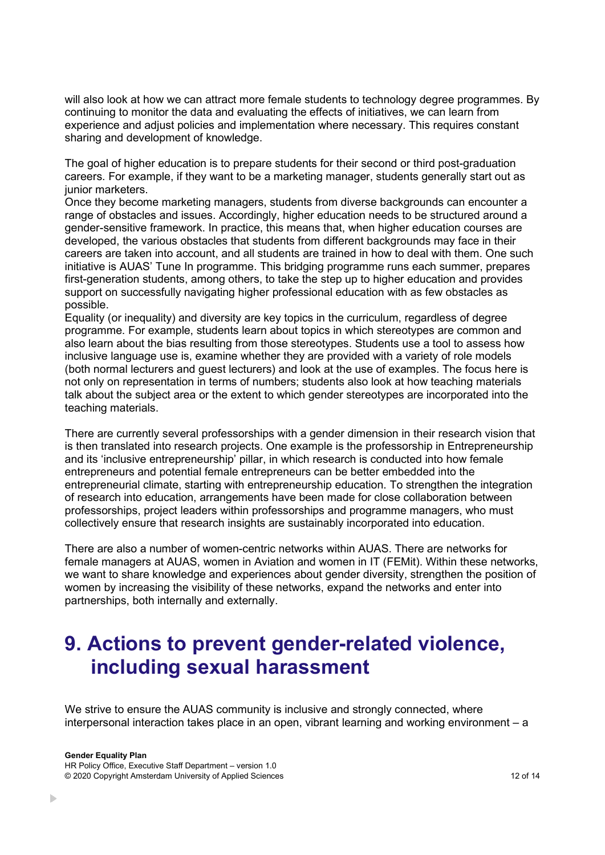will also look at how we can attract more female students to technology degree programmes. By continuing to monitor the data and evaluating the effects of initiatives, we can learn from experience and adjust policies and implementation where necessary. This requires constant sharing and development of knowledge.

The goal of higher education is to prepare students for their second or third post-graduation careers. For example, if they want to be a marketing manager, students generally start out as junior marketers.

Once they become marketing managers, students from diverse backgrounds can encounter a range of obstacles and issues. Accordingly, higher education needs to be structured around a gender-sensitive framework. In practice, this means that, when higher education courses are developed, the various obstacles that students from different backgrounds may face in their careers are taken into account, and all students are trained in how to deal with them. One such initiative is AUAS' Tune In programme. This bridging programme runs each summer, prepares first-generation students, among others, to take the step up to higher education and provides support on successfully navigating higher professional education with as few obstacles as possible.

Equality (or inequality) and diversity are key topics in the curriculum, regardless of degree programme. For example, students learn about topics in which stereotypes are common and also learn about the bias resulting from those stereotypes. Students use a tool to assess how inclusive language use is, examine whether they are provided with a variety of role models (both normal lecturers and guest lecturers) and look at the use of examples. The focus here is not only on representation in terms of numbers; students also look at how teaching materials talk about the subject area or the extent to which gender stereotypes are incorporated into the teaching materials.

There are currently several professorships with a gender dimension in their research vision that is then translated into research projects. One example is the professorship in Entrepreneurship and its 'inclusive entrepreneurship' pillar, in which research is conducted into how female entrepreneurs and potential female entrepreneurs can be better embedded into the entrepreneurial climate, starting with entrepreneurship education. To strengthen the integration of research into education, arrangements have been made for close collaboration between professorships, project leaders within professorships and programme managers, who must collectively ensure that research insights are sustainably incorporated into education.

There are also a number of women-centric networks within AUAS. There are networks for female managers at AUAS, women in Aviation and women in IT (FEMit). Within these networks, we want to share knowledge and experiences about gender diversity, strengthen the position of women by increasing the visibility of these networks, expand the networks and enter into partnerships, both internally and externally.

## <span id="page-11-0"></span>**9. Actions to prevent gender-related violence, including sexual harassment**

We strive to ensure the AUAS community is inclusive and strongly connected, where interpersonal interaction takes place in an open, vibrant learning and working environment – a

#### **Gender Equality Plan**

HR Policy Office, Executive Staff Department – version 1.0 © 2020 Copyright Amsterdam University of Applied Sciences 12 of 14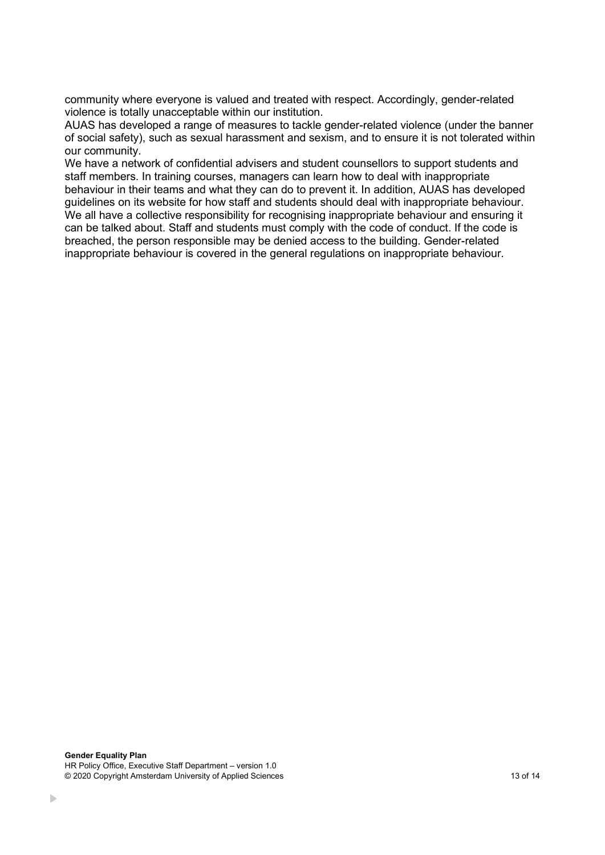community where everyone is valued and treated with respect. Accordingly, gender-related violence is totally unacceptable within our institution.

AUAS has developed a range of measures to tackle gender-related violence (under the banner of social safety), such as sexual harassment and sexism, and to ensure it is not tolerated within our community.

We have a network of confidential advisers and student counsellors to support students and staff members. In training courses, managers can learn how to deal with inappropriate behaviour in their teams and what they can do to prevent it. In addition, AUAS has developed guidelines on its website for how staff and students should deal with inappropriate behaviour. We all have a collective responsibility for recognising inappropriate behaviour and ensuring it can be talked about. Staff and students must comply with the code of conduct. If the code is breached, the person responsible may be denied access to the building. Gender-related inappropriate behaviour is covered in the general regulations on inappropriate behaviour.

**Gender Equality Plan**

HR Policy Office, Executive Staff Department – version 1.0 © 2020 Copyright Amsterdam University of Applied Sciences 13 of 14